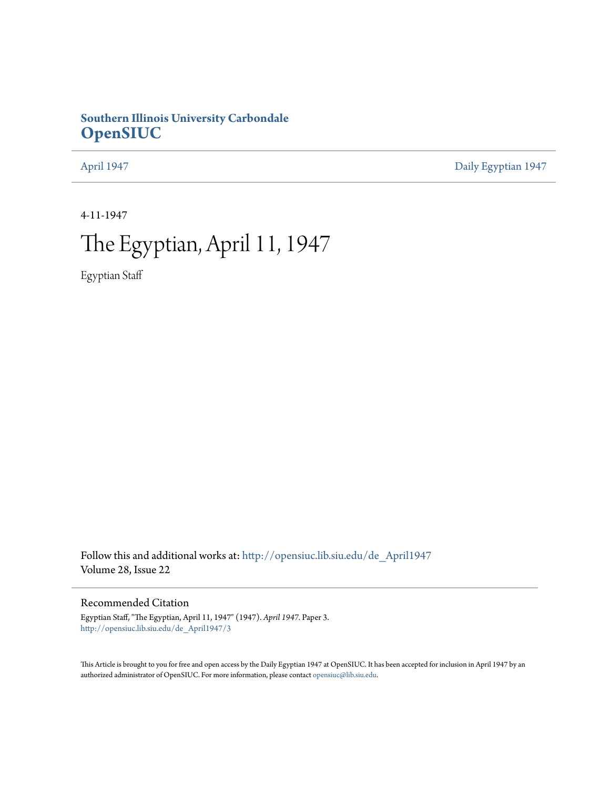## **Southern Illinois University Carbondale [OpenSIUC](http://opensiuc.lib.siu.edu?utm_source=opensiuc.lib.siu.edu%2Fde_April1947%2F3&utm_medium=PDF&utm_campaign=PDFCoverPages)**

[April 1947](http://opensiuc.lib.siu.edu/de_April1947?utm_source=opensiuc.lib.siu.edu%2Fde_April1947%2F3&utm_medium=PDF&utm_campaign=PDFCoverPages) [Daily Egyptian 1947](http://opensiuc.lib.siu.edu/de_1947?utm_source=opensiuc.lib.siu.edu%2Fde_April1947%2F3&utm_medium=PDF&utm_campaign=PDFCoverPages)

4-11-1947

# The Egyptian, April 11, 1947

Egyptian Staff

Follow this and additional works at: [http://opensiuc.lib.siu.edu/de\\_April1947](http://opensiuc.lib.siu.edu/de_April1947?utm_source=opensiuc.lib.siu.edu%2Fde_April1947%2F3&utm_medium=PDF&utm_campaign=PDFCoverPages) Volume 28, Issue 22

#### Recommended Citation

Egyptian Staff, "The Egyptian, April 11, 1947" (1947). *April 1947.* Paper 3. [http://opensiuc.lib.siu.edu/de\\_April1947/3](http://opensiuc.lib.siu.edu/de_April1947/3?utm_source=opensiuc.lib.siu.edu%2Fde_April1947%2F3&utm_medium=PDF&utm_campaign=PDFCoverPages)

This Article is brought to you for free and open access by the Daily Egyptian 1947 at OpenSIUC. It has been accepted for inclusion in April 1947 by an authorized administrator of OpenSIUC. For more information, please contact [opensiuc@lib.siu.edu](mailto:opensiuc@lib.siu.edu).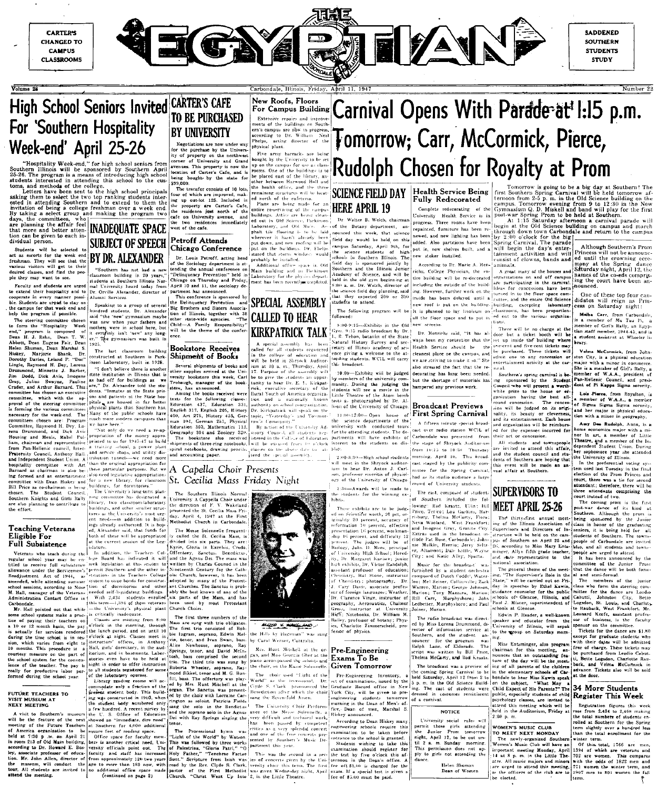

Volume 28



**SADDENED SOUTHERN STUDENTS STUDY** 

Number 22

#### High School Seniors Invited CARTER'S CAFE TO BE PURCHASED For 'Southern Hospitality **BY UNIVERSITY** Week-end' April 25-26 the purchase by the Univers of property on the northwes

dividual person.<br>Students will be selected to<br>act as escorts for the week end<br>freshman. They will get to their<br>desired classes, and find the peo-<br> $\frac{1}{2}$  and  $\frac{1}{2}$  and  $\frac{1}{2}$  and  $\frac{1}{2}$  and  $\frac{1}{2}$  and  $\frac{1$ 

want to see. and sfudents are urged<br>their hospitality and to in every manner possi pus for that week end and

program if possible ream is composed of<br>gram is composed of<br>J. Rehn, Dean T. W. Dean Eurene Fair, Dear n. Dean Marshal S Shank. -<br>Br es, Leiand P.<br>es, Leiand P.<br>ond H. Dey, ່າກ້ d, Dick Avis, Imogen and Arthur Barn rd. This is chosen an executiv Mabel Pulwith Dean Hiskey and is co-chairman Student

uthern Knights and Girls Rally

#### **Teaching Veterans** Eligible For Full Subsistence

Veterans who teach during **1. while attending sum** ation Contact Office in

ool systems make a prac- is critically ying their teachers on for services rendered The pay i during the school year

# FUTÚRE TEACHERS TO<br>VISIT MUSEUM AT<br>NEXT MEETING

visit to Southern's t to Southern's museum<br>the feature of the next<br>of the Future Teachers<br>ica organization to be April 21 p.m.on<br>of Old Main ing to Dr. Howard E. Bos iate professor of educa-Mr. John Allen, director will conduct

location of Carter's

resider

of the cafe.

tending the annual confere

Delinquency Prevention

Family Re

**Bookstore Receives** 

Shinment of Books

igh, manag

400, Art 275, History

I notebooks, draw<br>accounting paper.

Several shipments of books an

sther supplies arrived at the Ur

versity bookstore this week. Car

aphy 304 and Zoology

will be the theme of the confer

.com<br>sano i hittir s

other state-wide agencies

Louis Petroff, acting head

From the strength of the strength of the strength of the strength of the property strength strength strength strength strength strength strength strength strength strength strength strength strength strength strength stren SUBJECT OF SPEECH Petroff Attends

#### BY DR. ALEXANDER

een nas no<br>1 building i<br>at Southern mal University heard today from Apr<br>Dr. Orville Alexander, director of part Alumni Services.

Speaking to a group of several hundred students. Dr. Alexander said "the 'new' gymnasium maybe some the even symmature may be a<br>mother were in school here, but<br>it certainly isn't 'new' any long-<br>er.'' The gymnasium was built in

The last classroom building constructed at Southern is Pari

"I don't believe there is anothe state institution in Illinois that is pitals are house Many of the public schools have nuch more modern campuses than

than the original appropriation for these particular purposes. But we

> ssroom-laboratory other smaller structures as the University's most ure nt needs-in addition. to buildes already authorized. It is hou Alexander said, that funds for

at the current session of the Leg islatur additio -f n needed self-liquida With 2,434 enrolle -1,394 of them veterans

Office

uare feet of reading space.<br>Office space for faculty men ilding, bers is ther crtical need, Un versity officiale noint

#### New Roofs, Floors

Extensive repairs and improv ents of the buildings of ern's campus are now in progre ern's campus are now in programs are now in programs.<br> **Phelps**, acting director of physical plant.

Five army barracle<br>lought by the Universe of University and Grand This property is now the the health office, and r of which are improved, mak-<br>up out-lot 125. Included in<br>property are Carter's Cafe, remaining structure

residence just north of the

shalt tile .<br>cherever it

#### SPECIAL ASSEMBLY Big Brothers and Sisters Association of Illinois, together with 31 **CALLED TO HEAR KIRKPATRICK TALK**

special assembly has been<br>d for all students registered<br>be college of education and<br>be held in Shryock Auditor

ium at 10 a, m., Thursday, Apri<br>17. Purpose of the assembly wil be to give the students or tunity to hear Dr

104, German 251, Physics Education 303, Mathematics  $\overline{11}$ 

#### A Capella Choir Presents Ibrary, for classroom St. Cecilia Mass Friday Night

Ger

Southern Illinois Normal University A Cappella Choir under<br>the direction of F. V. Wakeland presented the St. Cecilia Mass Fri dav. Auril 4, 1947 at the First Methodist Church in Carbondale.

The Messe Solennelle frequentarease soferniene requent-<br>ed the St. Cecilia Mass, is<br>into six parts. They are:<br>Gloria in Excelsis, Credo. Offentory, Sanctus, Benedictus Agnus Del. The mass Charles Council in the

by trio consisted of Ingram, soprano, Edwin Meland Ivan Swan, bass soprano.  $\mathbf{p}_{\alpha}$ tenor, and David McD

Hunt Mitchell at the The Sanctus d by the choir with Lorra

Light of the This was followed by three work nt Pelast ጉኑ Father "Tangh of the First Methodist was given Wednesday<br>"Christ Went Up Into 2, in the Little Theat

**HERE APRIL 19** 

Walter B. Welch, chairm Botany department, an unced this week, that science eld day would be held on this Saturday, April 9th, for<br>ience students of high<br>in Southern Illinois. The d jointly by the Illinois Junio Southern

and will be

The following program will ollowed  $8:00.9:15$ 

ni. 9:15 radio broadcast I<br>R. Tehon, betanist of the atural History Survey and sec retary of Illinois academy of sci ence giving a welcome to the atending students. WCIL will carry his br

-Exhibits will be judged rs of the university munity. During the judging the its will see a movie in the<br>Theatre of the Atom bomb photographed h  $n_{\rm F}$ 

2:00-Open house departments with conducted tour attending students exhibits

to hear Dr. Anton J. Carlemeritis of physicl. crowd of University students

juders will be rsity High School: Hered Aeronautics Willie

Bailey, professor of botany; Physics, Charlotte Zimmerscheid, pro les, charlotte All<br>fessor of physics.

#### Pre-Engineering Georgia Gher at the Exams To Be Given Tomorrow e Solennelle

Graduate Record Fork City, will be given to prengineering students tomorro norning in the Dean of Men's

According to Dean Hiskey man schools samination **hefor** 

test by ternoon in the Dean's fee of \$3,00 is charged for th If a special test is fee of \$5.00 must be naid

# $N_{\rm new\;Roots,\;Floors}_{\rm EMMO}$  Floors Carnival Opens With Parade at 1:15 p.m. Tomorrow; Carr, McCormick, Pierce, Rudolph Chosen for Royalty at Prom

## SCIENCE FIELD DAY |Health Service Being

added. Also partitions have been new stoker installed.

According to Dr. Marie  $A = M \times n$ ichs, College Physician, the enincluding the outside of the building. However, further work on the inside has been delayed until a new roof is put on the

It is planned to lay linoleum or new screens.

Dr. Henrichs said. ways been my contention that the Service cleanest place on the cannot we are striving to make it so. She also stressed the fact that the re

decorating has long been needed. but the shortage of materials hampered any previous work.

the University of Chicago. **Broadcast Previews First Spring Carnival** 

cast staged by the publicity com the Spring had as its studio andianas a log

The cast, composed of student

Rod Krastz, Ullin: Bi Terico: Lou Mulkin, Herrin; Jerry Seltz-Altamont: Dale **Kuth** ity; and Katie Alley

Seiner, Collinsville; Zach .<br>Warren, Marion; George Johnson Tony Mazzara Marion min Ledbetter, Murphysboro; and Paul The radio broadcast

included

ed by Miss Lorena Drummond, director of information service at Southern, and the student er for the program was<br>Lane, of Eldorado. The<br>was written by Bill Price, script was written by Bill Frice,<br>Thelm<mark>a McCarty, and</mark> Rod Kraatz.

The broadcast was a preview coming Spring teld Saturday  $ri$  12 from in the Old So m. in the Osa Sc...<br>The cast of stude<br>sed in costumes re of a carnival.

**NOTICE** 

night, April 12, to be out un

ing a, me and a mean of the contrainer of the property.<br>This permission does not apply to girls not attending the<br>dance.

Helen Shuman<br>Dean of Women

**Health Service Being**<br> **Fromorrow** is going to be a big day at Southern! The<br> **Fully Redecorated Examples.** Tomorrow evening of any and the bild Science building on the<br>
complete redecorating of the  $\frac{1}{2}$  computer

 $V$ elma

 $\frac{1}{2}$  of the

One of these top four can

student assistant at Wheeler

City, is a physical education

Lois Pierce, from Royalton,<br>member of W.A.A., a membe

and her major is physical eduction with a minor in geography.

Amy Dae Rudolph, Anna, is

ential voting

merefore, there will be<br>idents comprising the<br>id of two.

 $the$ 

its kind a

and town

ised last Tuesday in the find

of the Prom Princes

economics major

or in art, a member

ourt, there was a tim

stiendant: therefore the

Sigma Sigma Sigma

tainment activities and will  $\overline{\text{will}}$ Princess will not be announced until the crowning cere nony at the Spring dance<br>Saturday night, April 12. the

animals. A great many of th reanizations on names or the co-eus compris<br>ing the court have been an re participating in the carnival ire Old Science<br>ire Old Science

didates will reign as Princess on Saturday night: building, excepting l<mark>aborator</mark>;<br>classrooms, has been proportion Mulba Carr, from Carbondule,<br>is a member of Mu Tau Pi, a<br>member of Gri's Rally, an Egyptian staff member, 1944-65, and is ed out to the various organiza There will be no charge at the

loor but a ticket will be set up inside the building where brary. me-cent and five-cent tickets me These  $t$ ickets  $=$ ill

She is a member of Girl's Rally, nember of W.A.A., president Pan-Hellenic Council dent of Pi Kappa Sig

having the best all be judged on its origi its beauty or entertainment. Each house

invited to attend this affair

### **SUPERVISORS TO MEET APRIL 25-26**

The thirty-first annual meetof the Illinois Association of Supervisors and Directors of Instruction will be held on the cam of Southern on April 25 and to Miss Mar rding to Miss Mary Ents-<br>Allyn fifth grade teacher,<br>le representative to the national association.

The general theme of the schools of Glencoe, Illinois, and<br>Paul J. Misner, superintendent of schools at Glencoe Edwin P. Reader, a

speaker and educator from the<sup>150</sup><br>University of Illinois, will sepak<sup>150</sup> to the group on Saturday morn

Miss Entsminger, also program nounces that an outstanding fea of the day will be the meet ng of all parents of the  $-$ hild $-$ 

Expect of His Parents?" The<br>cspecially students of child psychology classes, are invited to sttend this meeting which will be eld in the Auditorium, Friday a

 $2:00$  p.m.

## University social rules will<br>permit those girls attending<br>the Junior Prom tomorrow

WOMEN'S MUSIC CLUB<br>TO MEET NEXT MONDAY<br>The newly-organized Sou newly-organized Sout<br>i's Music Club will have important meeting Monday, April<br>14 at 8 p.m. in the Little Theatre. All music majors and minor . . . .

court instead of two<br>court instead of two.<br>The coming prom is the filest-war dance of its kind<br>Southern. Although the prom being sponsored by<br>class in honor of the seniors, it is being<br>students of Souther ple are urged to attend It has be announced by the committee of the Junior that the

Johnston Bette Logsdon and Charlot te Rauback, West Fr Leonard Keefe a

ir data

free of charge. These tickets not purchased from Leedin Bette Log inn Charlotte Rus ek, and Velma McCormic<br>vance. Tickets also will be

#### 34 More Students **Register This Week**

Registration figures this week  $\overline{\text{rose}}$  from 2.434 to 2.468 makin the total numbers of students er ene teles nembers av<br>rolled at Southern fo rolled at Southern for the Spring<br>term slightly over a hundred les<br>than the total enrollment for the<br>winter term.

of this total, 1766 are men,<br>1394 of which are veterans and .<br>1972 are women. This compares<br>With the odds of 1822 men and



Hademan" was sun

the Hills by

versity chon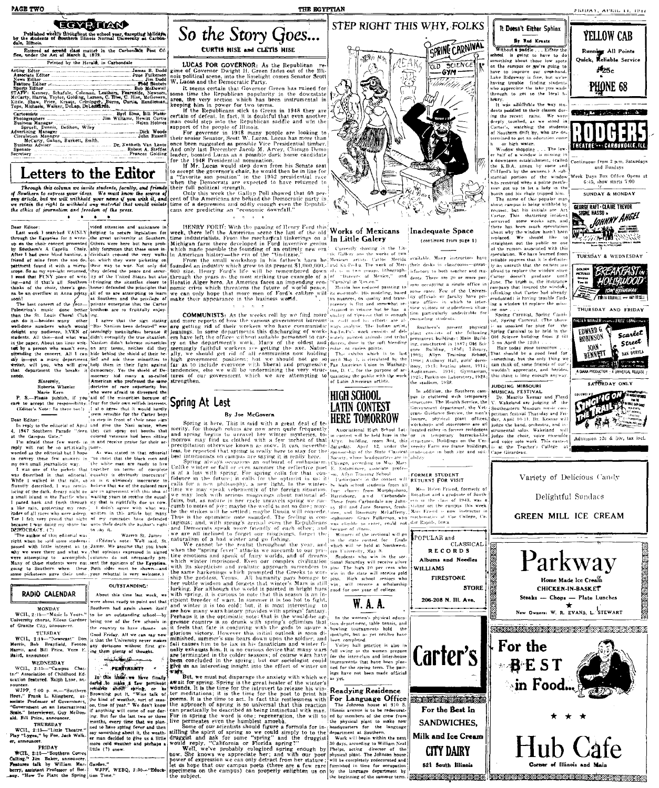#### **TAX MAN** Published weekly throughout the school year, excepting holidays, by the students of courtern Illinois. Normal University at Carbon-due, Illinois.

ond class matter in the Carbondale Post Of Entered as set

| fice, under the Act of March 3, 1879.<br>Printed by the Herald, in Carbondale                                                                                                         |  |
|---------------------------------------------------------------------------------------------------------------------------------------------------------------------------------------|--|
|                                                                                                                                                                                       |  |
|                                                                                                                                                                                       |  |
|                                                                                                                                                                                       |  |
|                                                                                                                                                                                       |  |
|                                                                                                                                                                                       |  |
| Bob McDowe<br>STAFF: Kenney, Schafule, Coleman, Leathers, Fearnside, Newsor                                                                                                           |  |
| McCarty, Harris, Taylor, Golding, Larson, C. Hise, C. Hise, McGover<br>Kittle, Shaw, Price, Kraatz, Criminger, Burns, Curtis, Rendictua<br>Tope, Michaels, Walker, DeLap, DeLeckardô. |  |
|                                                                                                                                                                                       |  |
|                                                                                                                                                                                       |  |
| Spruell, Dennis, DeShon, Wiley                                                                                                                                                        |  |
|                                                                                                                                                                                       |  |
|                                                                                                                                                                                       |  |
|                                                                                                                                                                                       |  |
|                                                                                                                                                                                       |  |
| McCarty, Gahan, Burkett, Smith.                                                                                                                                                       |  |
|                                                                                                                                                                                       |  |

#### Letters to the Editor

Through this column we invite students, faculty, and friends<br>Southern to express your ideas. We must know the source of<br>g article, but we will unithedd gour name if you wish it, and<br>retain the right to withheld any materia  $\bullet$ 

which they were

.<br>Tha Carta

and week I searched VAINLY being to secure legislation for the Egyptian of the Egyptian of a write the great university at Southern for the the state of the great university at Southern's A Captella Choice were but have pr through the Egyptian for a write-.<br>by Southern's A Capella Choir.<br>After I had gone blind hunting a tter i had gone blind hunting, a<br>reflued of mine from the son de-<br>effinent found it with a micro-<br>ope. So as my sye-ight returned,<br>read that PUNY piece of with<br>g-and if that's all Southern on which they were pictors.<br>their way to war. Not<br>they defend the peace r<br>ty of the l'nited State:<br>(tringing the situation) of the choir, there's gon- home: defended the principles that na be an overflow at Anna pretty all of us are attempting to learn<br>soon! at Southern and the privilege of on:<br>The best concert of the year-private enterprise that

The bast connect of the  $p_{50} = p_{10}$  interact one better involves are so fruitfully enjoy<br>Palestinia's music done better brothess are so fruitfully enjoy<br>can do it—besides many other  $\vert$ . Larger that the sign stating<br>we

#### RADIO CALENDAR

**MONDAY** WCH. 2:15. "Music Is Yours n Cris, 2:13- music is rours.<br>University chorus, Elleen Gardner<br>of Granite City, announcer. TUESDAY

WCH, 2.16—"Newseast" Don (Cool Friday, All ve can say<br>https://www.ast." Don (is that the University never<br>Morris, and Bill Price. Vern E. ing their plenty of theoretic<br>Hairis, announcer.<br>Hairis, announcer.<br> $\frac{1}{2}$ :  $\zeta$ 

WEDNESDAY WCH., 2:15-"Campus Chat-<br>te." Association of Childhood Edacation featured. Raiph Lane, an-

nouncer.<br>WJPF, 7:00 p. m.--"Southern<br>Hort," Frank L. Klingberg, associate Professor of Government,<br>"Government on an International Scale." Interviewer, Guy McDonald. Bill Price, announcer.

and. But Friee, announcer.<br>THURSDAY<br>WCIL, 2:15---"Little Theatre."<br>Play "Lygea," by Poe. Jack Walker, announcer. FRIDAY

WCH<sub>2</sub> 2:15—"Southern Corres little (?) s<br>
Calling." Jim Baker, announcer.<br> **Features talk by William Marc Garden."**<br> **Peatures talk by William Marc Garden."**<br> **berry, assistant Professor of Bot.** WJPF, v.ary. "How To Pla

 $\begin{minipage}{0.9\textwidth} The correct, All 1 can be the same. The current is the correct. The current is the correct. The current is the current. The current is the current. The current is the current. The current is the current. The current is the current. The current is the current. The current is the current. The current is the current. The current is the current. The current is the current. The current is the current. The current is the current. The current is the current. The current is the current. The current is the current. The current is the current. The current is the current. The current is the current. The current is the current. The current is the current. The current is the current. The current is the current. The current is the current. The current is the current. The current is the current. The current is the current. The current is the current. The current is the current. The current is the current. The current is the current. The current is$ Marie Kern<br>
Name Kern<br>
P. S.—Please publish, if you wind of the minimities because of<br>  $\mathbf{P}$ . S.—Please publish, if you had of the minimities because of<br>
(Editor's Note: So there took) and a street that the solutional

passes with interest is to continue the processes when the property where a signal why we were there and what we phat optimize the process of the property of accomplish policies of the principal of the property of the stu

#### **OUTSTANDING** About this time last week.

ere about ready to point out that Southern had again shown itself to be an outstanding school-by being one of the few schools in the country to have classes on Good Friday. All we can say now<br>is that the University never makes

> سنفا يطلبها PERTINENT?

In this last we have finally<br>darba to make a few pertinent<br>remarks about apring, or has<br>Browning put it, "Wiss talk of Browning put it, "Wiss talk bof years and the kind of weather, sort of season, the of year'. We don't know the information of the state of the state of the last two or three Burd of the state of the state of the state of t

more cold weather and perhaps:<br>little (?) snow.

Garden."<br>WJPF, WEBQ, 2:30--"Educa-

So the Story Goes... CURTIS HISE and CLETIS HISE

**LUCAS FOR GOVERNOR:** As the Republican regime of Governor Dwight H. Green fades out of the Illi-<br>nois political scene, into the limelight comes Senator Scott<br>W. Lucas and the Democratic Party.

THE EGYPTIAN

nois political scene, into the limelight comes Senator Scott<br>
with the limelight comes Senator Scott<br>
R. Luccas and the Democratic Party.<br>
Luccas and the Democratic Party.<br>
Some time the Republican popularity in the downs

HENRY FORD'. With the passion of Henry Ford this **Works of Mexicans**<br> **Example 11.1 Example 12.1 Example 12.1 Example 12.1 Example 12.1 Example 12.1 Example 12.1 Example 12.1 Example 12.1 Example 12.1**

**COMMUNISTS:** As the weeks roll by we find more space of repaired in volume but the has a spatial more reports of how the various government bureauts in *n*s-of name former generation of their workers who have communistic

## Spring At Last

A divisor is responsible, then the set of the set of the set of the set of the set of the set of the set of the set of the set of the set of the set of the set of the set of the set of the set of the set of the set of the

The state in the same back of the state of the state of the state of the state of the state of the state in the state of the state of the state of the state of the state of the state in the state of the state of the state



and the intervention of Mexico," and density there are 20 or more puts.<br>
In the "Daracter of Mexico," and density for the are 20 or more puts.<br>
The constant in the control of the consequence of the Universe of the Univers In musicies, on quality and trans- (ii) otherase or racitive response is flit and somewhat te- (vate offices in which to i<br>trained in volume but be has a livicy visitors or students—a s<br>lytainy of ripenses that is enough t

Southern's present physical<br>plant consists of the following<br>permanent buildings: Main Build-

# HIGH SCHOOL<br>LATIN CONTEST

FORMER STUDENT<br>RETURNS FOR VISIT

 $n = 1943$ .

CLASSICAL

**RECORDS** 

Albums and Needles



petition festival Trutsday and Pri-<br>digy April 10-11. Dr. Kesnar will<br>judge the band, orchestra, and in-<br>strumental solos. Wikkeland will<br>judge the choir, voice ensemble<br>and vaire solo work. This contest





structed in 1887;<br>building, 1896;<br>Allyn Training ing, constituted in 1887; Old Sci-<br>
ence Rudding - 1896; Library,<br>
1993; Allyn - Training School,<br>
1998; Anthony Hall, girls' dorm-<br>
itery, 1913; heating plant, 1915;<br>
Auditorium. 1916; Gymnasium,<br>
the cadium - 1938<br>
1926 the stadium. 1938

In addition, the Southern cam-<br>pus is cluttered with temporary<br>structures. The Health Service, the  $\mathbf{v}$ Government department, the Vet-<br>crans Guidance Service, the men's ...<br>lounge, physical plant offices,<br>workshops and storerooms are all founded the process are all judge the tomes. Wakeland located either in former readences is transmitted located in the control of the control of the control of the control of the control of the control of the control of th





STEP RIGHT THIS WHY, FOLKS

It Doesn't Either Sphinx YELLOW CAB **By Rod Kenner** Running All Points<br>Quick, Reliable Service

**SRUAY, APRIL 11, 1947** 

P<sub>25c</sub>

PHONE 68

and Sundays

Week Days Box Office Opens at  $6.45$ , show starts  $7:00$ 

SUNDAY & MONDAY GEORGE RAFT CLAIRE TREVOR

TUESDAY & WEDNESDAY

THURSDAY AND ERIDAN

**ALLER WANTER County LERITZ LANG C** 

EDWARD G.

**ROBINSON** 

nw,

BREAKFAST<br>HOLLYWOOD

Scarlet

**BALL** DURYEA

Street

Without a packet and Krasting the school is gradient than the school is gradient than the school of the school of the school of the school of the school of the school of the school of the school of the school of the school

rary.<br>It was admirable the way sty It was aumenous ....<br>dents paddled to their classes dur-<br>ine the recent rains. We were ing the recent rains. We were<br>deeply tourhed, as we stood in watching the students carter s, watching the student<br>of Southern drift by, who are determined to get an education com-<br>h or high water.

or night water.<br>Window shopping . . . The low-<br>half of a window is missing in downtown establishment, (called<br>he K.D.A. annex hy some and the K.D.A. among the conversal  $\lambda$  sub-<br>Clifford's by the owners.) A sub-<br>stantial portion of the window<br>was removed when a politic grantle-<br>photon and is chain tripped him.<br>Do the manner of this popular manner<br>about cam request, but his initials are Art<br>Carter. This shattering incident

**BURE HASSU** Carter. This shattering incident<br>geometric space of the state and there has been much speculation<br>throw the window has the best space of the state state<br>properties of the problem of the problem of the problem<br>of the remon **原本的 無理** reliable sources that it is definite ontruth that the owners are

afraid to replace the window sin  $m<sub>1</sub>$ company that insured the eraduated) is having trouble finding a window to replace the miss

s one . . .<br>"Spring Carnival, Spring Carnisections to the principal Carrieral Spirite Carrier<br>
section the physical ( $\frac{1}{2}$  is a manifest for plus for the following Spiring Carrieral to be held in the<br>
the following Spiring Carrieral to be held in the<br>
1887; O

and should be a good ready thing we<br>can think of, some friends of our's<br>wouldn't appreciate, and besides,<br>this thing is long enough anyway.

JUDGING MISSOURI<br>MUSICAL FESTIVAL<br>Dr. Maurits Kernar and F<br>V. Wakeland are judging at Southeastern Missouri music com netition festival Thursday and Fri

Admission 12c & 30c

POPULAR and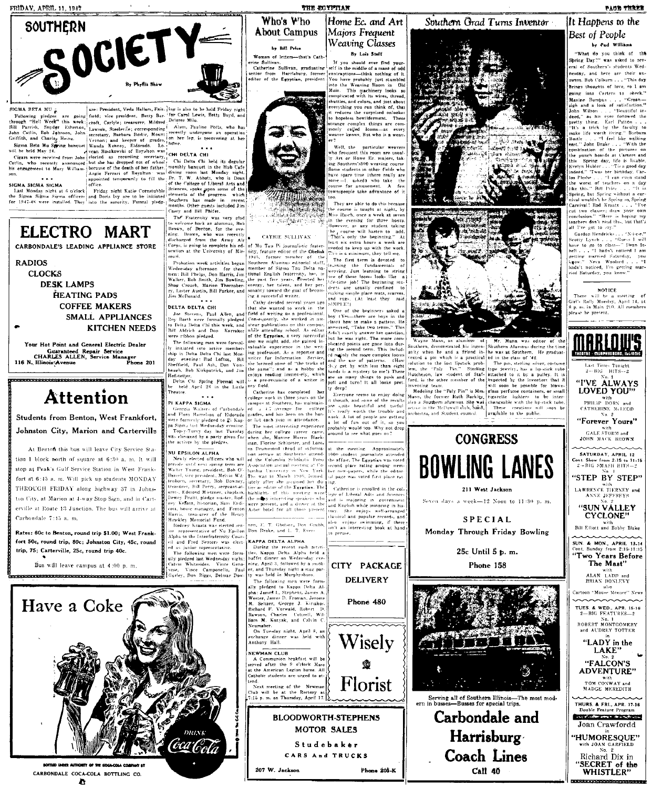**FRIDAY, APRIL 11, 1947** 



SIGMA BETA MU 2

## ELECTRO MART

CARBONDALE'S LEADING APPLIANCE STORE

**RADIOS** 

**CLOCKS DESK LAMPS** HEATING PADS

**COFFEE MAKERS** SMALL APPLIANCES **KITCHEN NEEDS** 

Your Hot Point and General Electric Dealer ar Hot Point and General Service<br>Guaranteed Repair Service<br>CHARLES ALLEN, Service Manager<br>Phone 201 116 N. Illinois Avenue

**Attention** 

Students from Benton, West Frankfort, Johnston City, Marion and Carterville

At Benton this bus will leave City Service Station 1 block north of square at 6:30 a. m. It will stop at Peak's Gulf Service Station in West Frankfort at 6:45 a. m. Will pick up students MONDAY THROUGH FRIDAY along highway 37 in Johnston City, at Marion at 4-way Stop Sign, and in Carterville at Route 13 Junction. The bus will arrive at Carbondale 7:15 a. m.

Rates: 60c to Benton, round trip \$1.00; West Frankfort 50c, round trip, 80c; Johnston City, 45c, round trip, 75; Carterville, 25c, round trip 40c.

Bus will leave campus at  $4:00$  n m

.<br>A SECOLO DE FINANCIA DE CONTRADO DE CONTRADO DE TE



CARBONDALE COCA-COLA BOTTLING CO. m

SIGMA BRTA MU  $\frac{1}{6}$  are i President, Veda Hallam, Fair- ling is also to be held Friday night<br>
Yellowing pleids week; rend, corresponding [Allam, Fair- [for Carol Lewis, Betty Boyd, and<br>
Yellowing pleids week; rend, co are: President, Vedu Hollom, Fair. Ing is also to be held Friday night

asey and Bitt Phite.<br>The Fraternity was very glad<br>o welcome back an alumnus, Bob<br>trown, of Benton, for the eve-<br>ting. Brawn, who was recently<br>lischarged from the Army Air: nrown, or<br>ning. Brot<br>discharged discharged from the Army Air 7<br>Corps, is going to complete his ed. of Mu Tau Pi journalistic frater-<br>uration at the University of Mis-<br>souri. 1945, former member of the<br>souri.

souri.<br>
Interior seek activities began Southern Alumnus editorial staff, Wednesday afternoon for these member of Sigma Tau Delta names.<br>
Interior interior is the member of Sigma Tau Delta names.<br>
Interior is the Southern

baugh, Bob Kirkpatrick, and Jin the game<br>
Hofsteit, The Chi Spring Formal will is a pre-r-<br>
be held April 26 in the Little any field.<br>
Theatre.  $\sim 10^{-1}$ 

PI KAPPA SIGMA PI KAPPA SIGMA (Schoole) (sample at Southern, has maintain-<br>  $\alpha$  Georgia Walters of Carbondule [ed. 2.4.7] arranges for college<br>
and Piora Harri-lon of Eldorado [andes, and has been on the bon-<br>
were formed by piedged to

nesliv Memorial Fund.<br>Rodiney Kraatz was elected sons men, E. T. Ghotson, Don Grubh,<br>r representative of Nu Epsilon Don Drake, and L. T. Every<br>pha to the Interfratternity Count.<br>Land Fred Senters was elect. **KAPPA DELTA AL** ed as junior representative.<br>The following men were form-<br>aily pledged last Wednesday night;

Calvin Whitesides

Vince Geno Camponello, Pau

er, and Thursday nerit a state party<br>ty was held in Murphyshoro.<br>The following men were formally pledged to Kappa Delta Al-<br>pha: James I., Stephens, James A.<br>Wester, James D. Fronnan, Jerome M. Seltzer, George J. Kiriakos<br>Richard F. Vorwald, Robert D.

Richard F. Vorwald, Robert D.<br>Rawson, Charles Cottrell, William M. Kozyak, and Calvin C.<br>Neumaber.<br>Neumaber.<br>On Tuesday night, April 8, an<br>exchange dinner was held with<br>Anthony Hall.

NEWMAN CLUB **EWMAN CLUB**<br>A Communion brakfast will be<br>rived after the 9 o'clock Mass<br>the American Legion home. All<br>atholic students are urged to at-

207 W. Jackson

Florist end.<br>Next meeting of the Newman (<br>Iub will be at the Rectory at (<br>ED p.m. on Thursday, April 17. **BLOODWORTH-STEPHENS** 

**MOTOR SALES** 

Studebaker

**CARS And TRUCKS** 

oo.<br>oo.<br>They are able to do this because

THE ECYPTIAN

Who's Who

About Campus

by Bill Price

saan vi<br>Sullivan

former member of the

One of the beginners

any rieu.<br>Catherine has completed her<br>coilege work in three years on the campus at Southern, has maintain<br>ed = 1.7 average for college

ing

**KAPPA DELTA ALPHA**<br>
During the recent rush activi-<br>
ties, Kappa Delta Alpha held a<br>
buffet dinner on Wednesday eve-<br>
ning, April 3, followed by a smoker and Thursday night a stay nar

course is taught at night. hy the course is taught at night, by<br>  $\begin{pmatrix} \text{Ms} & \text{Rs} & \text{Rs} & \text{Rs} \\ \text{Ms} & \text{Rs} & \text{Rs} & \text{Rs} \\ \text{Mu} & \text{Ms} & \text{Ms} & \text{Ms} \\ \text{Mu} & \text{Mu} & \text{Mu} & \text{Ms} \\ \text{Mu} & \text{Mu} & \text{Mu} & \text{Ms} \\ \text{Mu} & \text{Mu} & \text{Mu} & \text{Mu} \\ \text{Mu} & \text{M$ 

boy (Yes-there are boys in the meer now to make a pattern: refirst exactly answer her question,<br>out he was right. The more com-

By Lois Steff Woman of letters-that's Cath. If you should ever find w If you should ever find your-<br>self in the middle of a maze of odd<br>contraptions—think nothing of it.<br>You have probably just stambled<br>into the Weaving Room in Old<br>Main. This machinery looks so<br>complicated with its wires, thr rine Sullivan.<br>Catherine Sullivan, graduating<br>enior from Harrisburg, forme:<br>ditor of the Egyptian, president shuttles and colors and inst shop

Home Ec. and Art

Majors Frequent

Weaving Classes

shuttles, and colors, and just about<br>everything you can think of, that<br>it reduces the surprised onlooker<br>to hopeless bewilderment. These<br>strange complex things are com-<br>monly called looms—as every<br>weaver knows. But who is

er:<br>Well, the particular weavers<br>who frequent this room are usually<br>ly Art or Home Ec. majors, tak-<br>ing Southern's000 weaving course<br>Some students in other fields who Since spare time ithere really are<br>some -1, asked) who take the<br>course for amusement. A few<br>townspeople take advantage of it

needed to keep up with the work.<br>This is a minimum, they tell me,

This is a minimum, they tell me,<br>the first carrier of the function of the first carrier<br>between the function of the state of the state of the state of<br>the state of the state of the state of the state of the<br>periments are u and rugs. (At least they **Cold** 

ana 1988.<br>SIMPLE'Y

Solutionary for the space in the space of the space of the space of the place of the space of the space in the space of the space of the space of the space in the space in the space in the space of the space of the space



Monday Through Friday Bowling

#### 25c Until 5 p. m.

Phone 158



Harrisburg

**Coach Lines** 

Call 40

#### Sputhern Grad Turns Inventor It Happens to the **Best of People Example 2** Williams .<br>What do you think of the

Spring Day?" was asked to several of Southern's students Wednesday, and here are their answers. Hob Colburn . . . "This day Brings thoughts of love, so I am genig into Carters to check."<br>Maxim Bumpus . . . "Grean-<br>sigh and a look of satisfaction."<br>John Wilson . . . . "Grean-<br>deed," as his eyes followed the<br>pretty thing. Earl Patton . . . . . . . .<br>"It's a trick by the faculty Bastir . . . "I fe<br>meet " John Drake et fact tite methin. ne namme<br>≌With the east." John Drake ... . "With the<br>tembination of the pictures on<br>the punch bands at Carters and<br>this Spring day, life is livable.<br>Evelyn Hubler ... "Tis a good day<br>indeed." 'Twas her birthday. Caros Pleshe ilike this." Bill Price ... . "It is<br>Spring, but Spring without a car-<br>mixal wouldn't be Spring so, Spring<br>Carnival! Red Kruatz ... . "I've<br>cut two classes; draw your own<br>conclusion." "Here is boping my<br>tenchens don't read all I've got to sav."

PACE THREE

Sold Bendricks... "Neise."<br>
Seotly Lynch ... "Guess 1 will<br>
have to go to class...." Dean Is-<br>
hell ... "I hadn't noticed I am betting matried Saturday, you<br>know." Neva Woolard . . . "I<br>hadn't noticed, I'm getting mar-<br>ried Saturday, you know."

#### NOTICE

 $T_{\text{H}}$  $\sim$  311 **CONSTRUCT** he a Girl's Raily Monday, April 14, at<br>Sirl's Raily Monday, April 14, at<br>8 n m in Main 210 All members



No. 1<br>ROBERT MONTGOMERY ed AUDREY TOTTER "LADY in the LAKE"

"FALCON'S **ADVENTURE"** with<br>TOM CONWAY and<br>MADGE MEREDITH

THURS. & FRI., APR. 17-18<br>Double Feature Program

*CARD CARD CARD AND ARRANGEMENT* Joan Crawfordd

'HUMORESQUE"

vith JOAN GARI<br>No. 2 Richard Dix in "SECRET of the WHISTLER"



CITY PACKAGE

**DELIVERY** 

Phone 480

♔

**Phone 205-K** 

From McDonald, and Single Street and Single Street and Single Street and Single Street and The Street and African Street and Single Street and African Street and African Street and African Street and African Street and Af